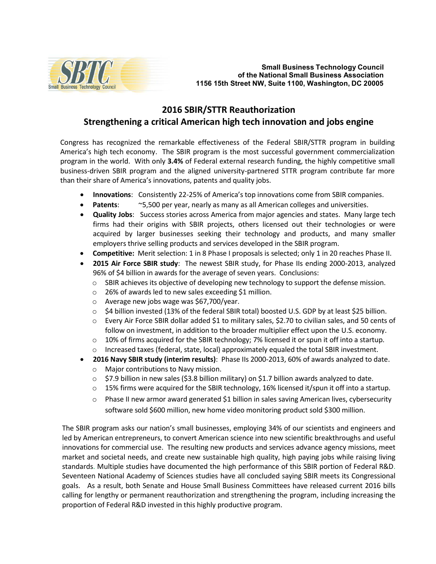

## **2016 SBIR/STTR Reauthorization Strengthening a critical American high tech innovation and jobs engine**

Congress has recognized the remarkable effectiveness of the Federal SBIR/STTR program in building America's high tech economy. The SBIR program is the most successful government commercialization program in the world. With only **3.4%** of Federal external research funding, the highly competitive small business-driven SBIR program and the aligned university-partnered STTR program contribute far more than their share of America's innovations, patents and quality jobs.

- **Innovations:** Consistently 22-25% of America's top innovations come from SBIR companies.
- **Patents**: ~5,500 per year, nearly as many as all American colleges and universities.
- **Quality Jobs**: Success stories across America from major agencies and states. Many large tech firms had their origins with SBIR projects, others licensed out their technologies or were acquired by larger businesses seeking their technology and products, and many smaller employers thrive selling products and services developed in the SBIR program.
- **Competitive:** Merit selection: 1 in 8 Phase I proposals is selected; only 1 in 20 reaches Phase II.
- **2015 Air Force SBIR study**: The newest SBIR study, for Phase IIs ending 2000-2013, analyzed 96% of \$4 billion in awards for the average of seven years. Conclusions:
	- $\circ$  SBIR achieves its objective of developing new technology to support the defense mission.
	- o 26% of awards led to new sales exceeding \$1 million.
	- o Average new jobs wage was \$67,700/year.
	- o \$4 billion invested (13% of the federal SBIR total) boosted U.S. GDP by at least \$25 billion.
	- o Every Air Force SBIR dollar added \$1 to military sales, \$2.70 to civilian sales, and 50 cents of follow on investment, in addition to the broader multiplier effect upon the U.S. economy.
	- $\circ$  10% of firms acquired for the SBIR technology; 7% licensed it or spun it off into a startup.
	- $\circ$  Increased taxes (federal, state, local) approximately equaled the total SBIR investment.
- **2016 Navy SBIR study (interim results)**: Phase IIs 2000-2013, 60% of awards analyzed to date.
	- o Major contributions to Navy mission.
	- $\circ$  \$7.9 billion in new sales (\$3.8 billion military) on \$1.7 billion awards analyzed to date.
	- $\circ$  15% firms were acquired for the SBIR technology, 16% licensed it/spun it off into a startup.
	- $\circ$  Phase II new armor award generated \$1 billion in sales saving American lives, cybersecurity software sold \$600 million, new home video monitoring product sold \$300 million.

The SBIR program asks our nation's small businesses, employing 34% of our scientists and engineers and led by American entrepreneurs, to convert American science into new scientific breakthroughs and useful innovations for commercial use. The resulting new products and services advance agency missions, meet market and societal needs, and create new sustainable high quality, high paying jobs while raising living standards. Multiple studies have documented the high performance of this SBIR portion of Federal R&D. Seventeen National Academy of Sciences studies have all concluded saying SBIR meets its Congressional goals. As a result, both Senate and House Small Business Committees have released current 2016 bills calling for lengthy or permanent reauthorization and strengthening the program, including increasing the proportion of Federal R&D invested in this highly productive program.